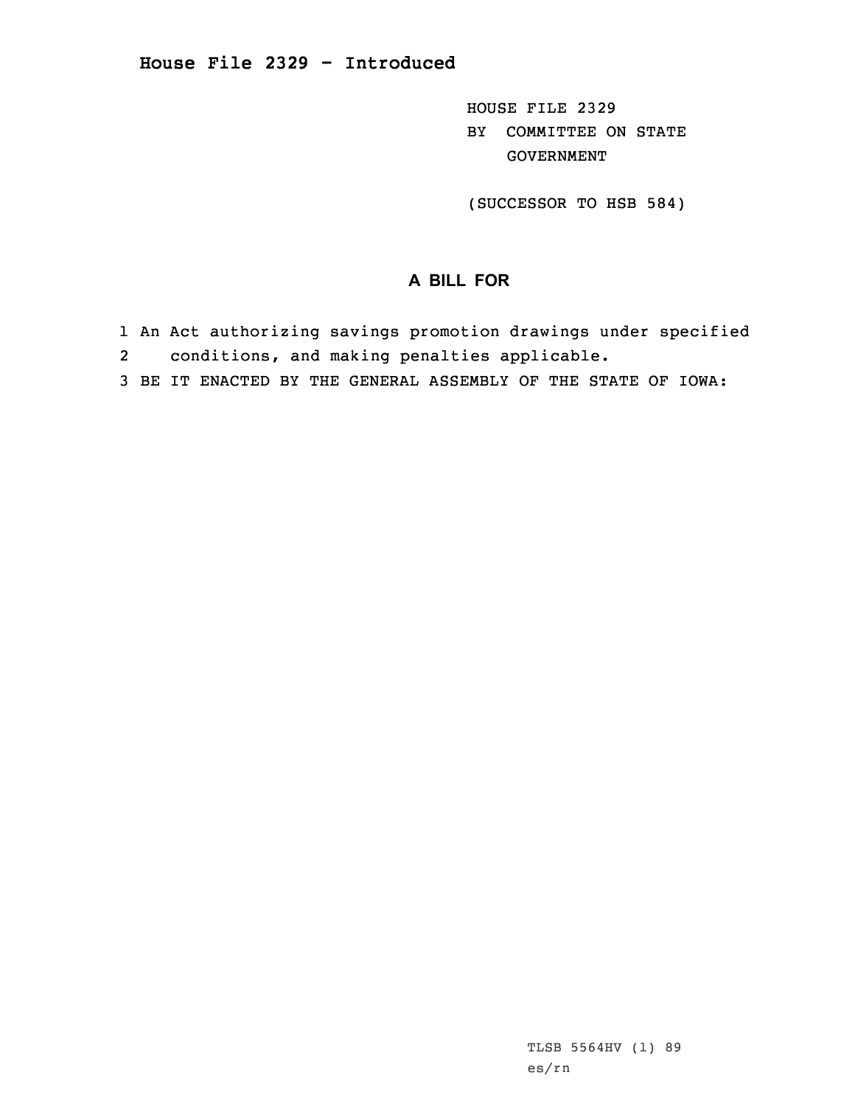HOUSE FILE 2329 BY COMMITTEE ON STATE GOVERNMENT

(SUCCESSOR TO HSB 584)

## **A BILL FOR**

- 1 An Act authorizing savings promotion drawings under specified
- 2conditions, and making penalties applicable.
- 3 BE IT ENACTED BY THE GENERAL ASSEMBLY OF THE STATE OF IOWA: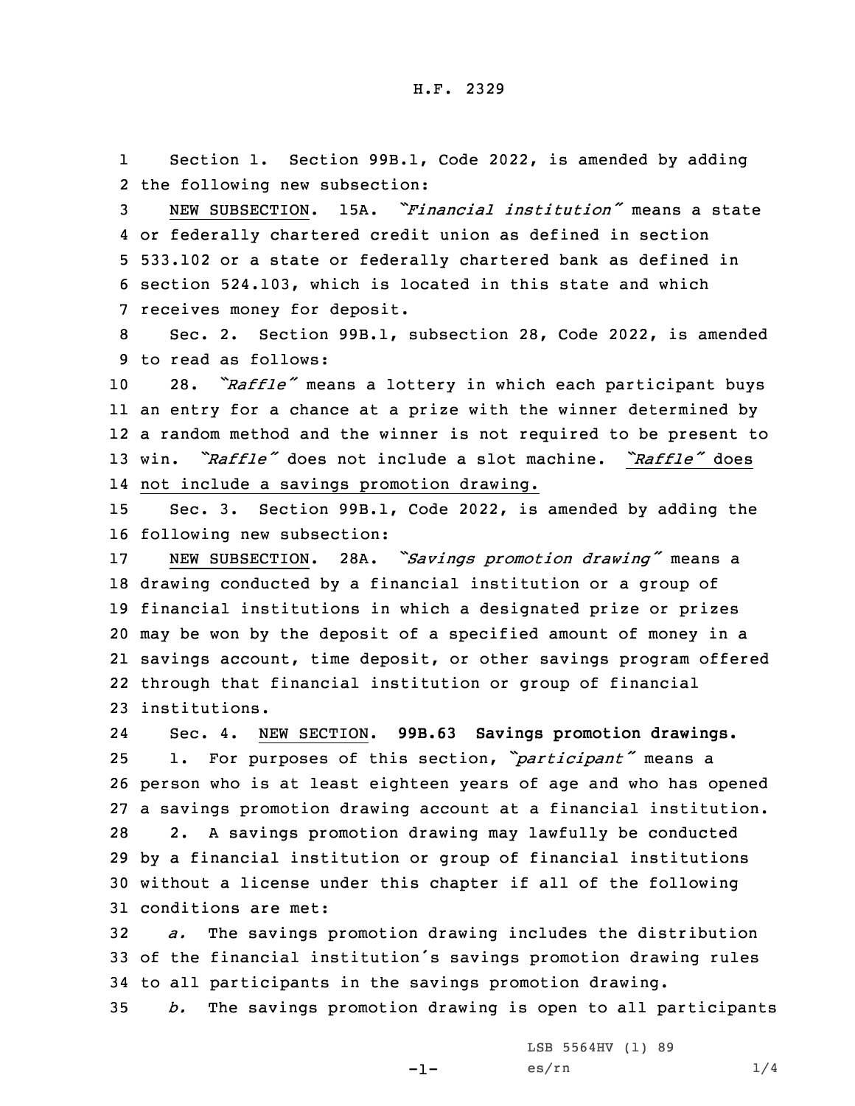1 Section 1. Section 99B.1, Code 2022, is amended by adding 2 the following new subsection:

 NEW SUBSECTION. 15A. *"Financial institution"* means <sup>a</sup> state or federally chartered credit union as defined in section 533.102 or <sup>a</sup> state or federally chartered bank as defined in section 524.103, which is located in this state and which receives money for deposit.

8 Sec. 2. Section 99B.1, subsection 28, Code 2022, is amended 9 to read as follows:

 28. *"Raffle"* means <sup>a</sup> lottery in which each participant buys an entry for <sup>a</sup> chance at <sup>a</sup> prize with the winner determined by <sup>a</sup> random method and the winner is not required to be present to win. *"Raffle"* does not include <sup>a</sup> slot machine. *"Raffle"* does not include <sup>a</sup> savings promotion drawing.

15 Sec. 3. Section 99B.1, Code 2022, is amended by adding the 16 following new subsection:

 NEW SUBSECTION. 28A. *"Savings promotion drawing"* means <sup>a</sup> drawing conducted by <sup>a</sup> financial institution or <sup>a</sup> group of financial institutions in which <sup>a</sup> designated prize or prizes may be won by the deposit of <sup>a</sup> specified amount of money in <sup>a</sup> savings account, time deposit, or other savings program offered through that financial institution or group of financial institutions.

24 Sec. 4. NEW SECTION. **99B.63 Savings promotion drawings.** 1. For purposes of this section, *"participant"* means <sup>a</sup> person who is at least eighteen years of age and who has opened <sup>a</sup> savings promotion drawing account at <sup>a</sup> financial institution. 2. <sup>A</sup> savings promotion drawing may lawfully be conducted by <sup>a</sup> financial institution or group of financial institutions without <sup>a</sup> license under this chapter if all of the following conditions are met:

32 *a.* The savings promotion drawing includes the distribution <sup>33</sup> of the financial institution's savings promotion drawing rules 34 to all participants in the savings promotion drawing.

35 *b.* The savings promotion drawing is open to all participants

-1-

LSB 5564HV (1) 89  $\text{es}/\text{rn}$  1/4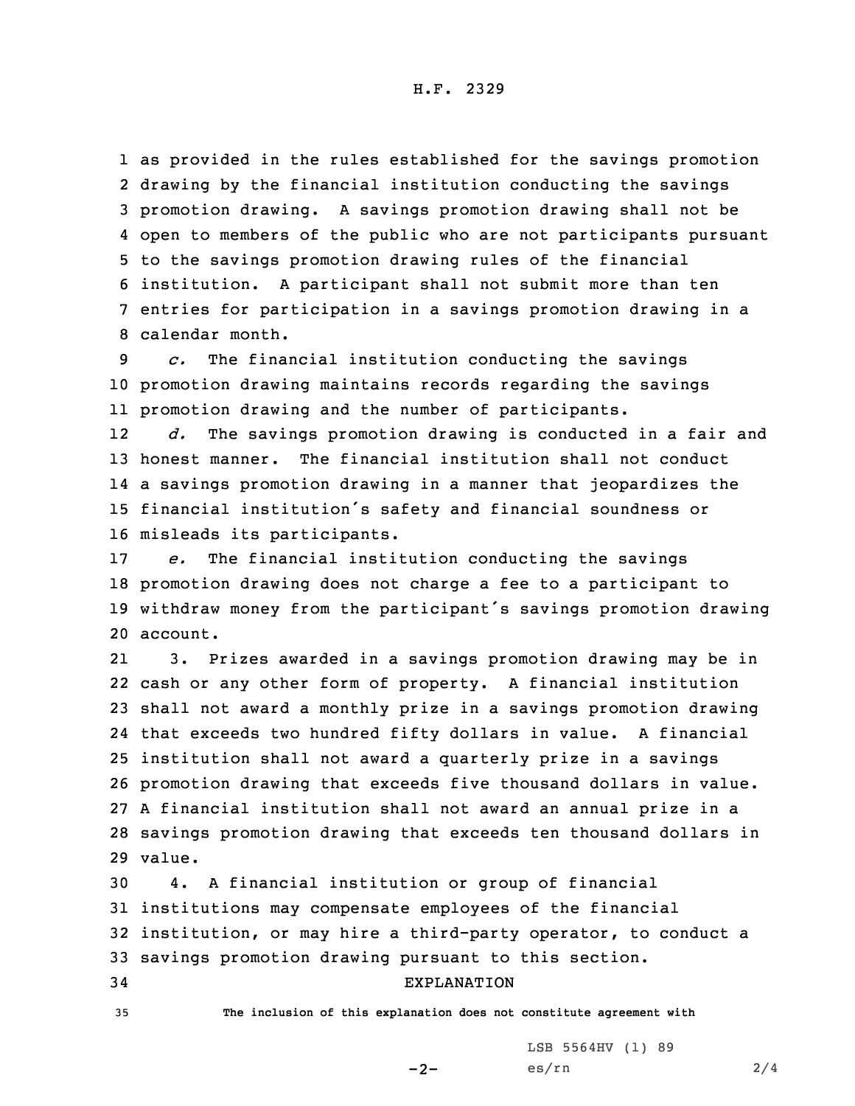as provided in the rules established for the savings promotion drawing by the financial institution conducting the savings promotion drawing. <sup>A</sup> savings promotion drawing shall not be open to members of the public who are not participants pursuant to the savings promotion drawing rules of the financial institution. <sup>A</sup> participant shall not submit more than ten entries for participation in <sup>a</sup> savings promotion drawing in <sup>a</sup> calendar month.

9 *c.* The financial institution conducting the savings 10 promotion drawing maintains records regarding the savings 11 promotion drawing and the number of participants.

12 *d.* The savings promotion drawing is conducted in <sup>a</sup> fair and honest manner. The financial institution shall not conduct <sup>a</sup> savings promotion drawing in <sup>a</sup> manner that jeopardizes the financial institution's safety and financial soundness or misleads its participants.

 *e.* The financial institution conducting the savings promotion drawing does not charge <sup>a</sup> fee to <sup>a</sup> participant to withdraw money from the participant's savings promotion drawing 20 account.

21 3. Prizes awarded in <sup>a</sup> savings promotion drawing may be in cash or any other form of property. <sup>A</sup> financial institution shall not award <sup>a</sup> monthly prize in <sup>a</sup> savings promotion drawing that exceeds two hundred fifty dollars in value. <sup>A</sup> financial institution shall not award <sup>a</sup> quarterly prize in <sup>a</sup> savings promotion drawing that exceeds five thousand dollars in value. <sup>A</sup> financial institution shall not award an annual prize in <sup>a</sup> savings promotion drawing that exceeds ten thousand dollars in 29 value.

 4. <sup>A</sup> financial institution or group of financial institutions may compensate employees of the financial institution, or may hire <sup>a</sup> third-party operator, to conduct <sup>a</sup> savings promotion drawing pursuant to this section. EXPLANATION

35 **The inclusion of this explanation does not constitute agreement with**

LSB 5564HV (1) 89

 $-2-$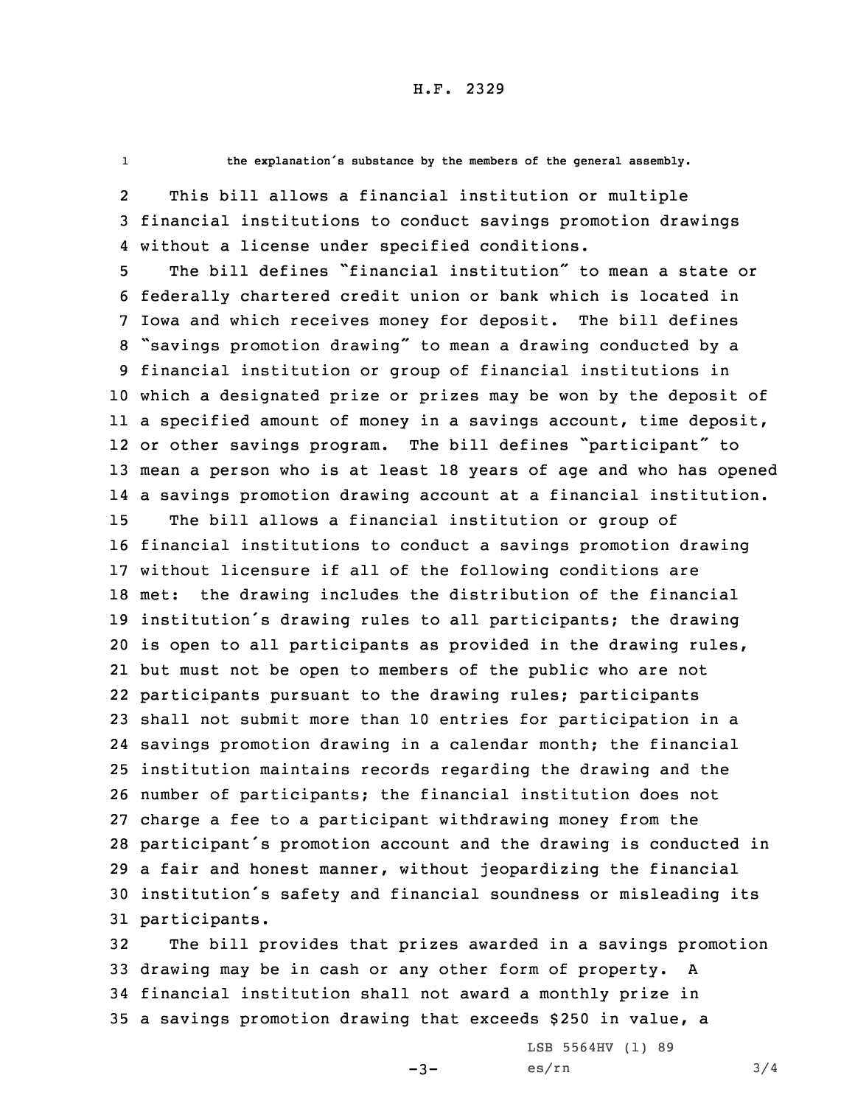1

**the explanation's substance by the members of the general assembly.**

2 This bill allows <sup>a</sup> financial institution or multiple 3 financial institutions to conduct savings promotion drawings 4 without <sup>a</sup> license under specified conditions.

 The bill defines "financial institution" to mean <sup>a</sup> state or federally chartered credit union or bank which is located in Iowa and which receives money for deposit. The bill defines "savings promotion drawing" to mean <sup>a</sup> drawing conducted by <sup>a</sup> financial institution or group of financial institutions in which <sup>a</sup> designated prize or prizes may be won by the deposit of <sup>a</sup> specified amount of money in <sup>a</sup> savings account, time deposit, or other savings program. The bill defines "participant" to mean <sup>a</sup> person who is at least 18 years of age and who has opened <sup>a</sup> savings promotion drawing account at <sup>a</sup> financial institution. The bill allows <sup>a</sup> financial institution or group of financial institutions to conduct <sup>a</sup> savings promotion drawing without licensure if all of the following conditions are met: the drawing includes the distribution of the financial institution's drawing rules to all participants; the drawing is open to all participants as provided in the drawing rules, but must not be open to members of the public who are not participants pursuant to the drawing rules; participants shall not submit more than 10 entries for participation in <sup>a</sup> savings promotion drawing in <sup>a</sup> calendar month; the financial institution maintains records regarding the drawing and the number of participants; the financial institution does not charge <sup>a</sup> fee to <sup>a</sup> participant withdrawing money from the participant's promotion account and the drawing is conducted in <sup>a</sup> fair and honest manner, without jeopardizing the financial institution's safety and financial soundness or misleading its participants.

 The bill provides that prizes awarded in <sup>a</sup> savings promotion drawing may be in cash or any other form of property. <sup>A</sup> financial institution shall not award <sup>a</sup> monthly prize in <sup>a</sup> savings promotion drawing that exceeds \$250 in value, <sup>a</sup>

 $-3-$ 

LSB 5564HV (1) 89